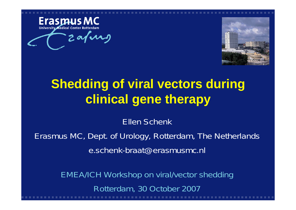

zafung



# **Shedding of viral vectors during clinical gene therapy**

Ellen Schenk

Erasmus MC, Dept. of Urology, Rotterdam, The Netherlands e.schenk-braat@erasmusmc.nl

> EMEA/ICH Workshop on viral/vector shedding Rotterdam, 30 October 2007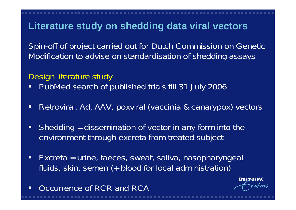#### **Literature study on shedding data viral vectors**

Spin-off of project carried out for Dutch Commission on Genetic Modification to advise on standardisation of shedding assays

#### Design literature study

- $\Box$ PubMed search of published trials till 31 July 2006
- $\Box$ Retroviral, Ad, AAV, poxviral (vaccinia & canarypox) vectors
- $\Box$  Shedding = dissemination of vector in any form into the environment through excreta from treated subject
- $\Box$  Excreta = urine, faeces, sweat, saliva, nasopharyngeal fluids, skin, semen (+ blood for local administration)
- $\Box$ Occurrence of RCR and RCA

**ErasmusMC**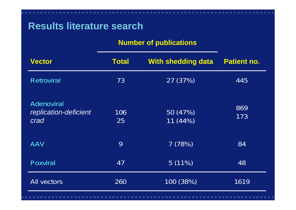## **Results literature search**

#### **Number of publications**

| <b>Vector</b>                                      | <b>Total</b> | <b>With shedding data</b> | <b>Patient no.</b> |
|----------------------------------------------------|--------------|---------------------------|--------------------|
| <b>Retroviral</b>                                  | 73           | 27 (37%)                  | 445                |
| <b>Adenoviral</b><br>replication-deficient<br>crad | 106<br>25    | 50 (47%)<br>11(44%)       | 869<br>173         |
| <b>AAV</b>                                         | 9            | 7(78%)                    | 84                 |
| <b>Poxviral</b>                                    | 47           | $5(11\%)$                 | 48                 |
| <b>All vectors</b>                                 | 260          | 100 (38%)                 | 1619               |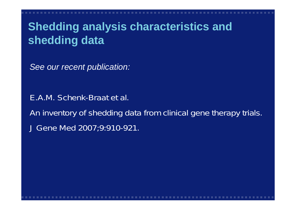# **Shedding analysis characteristics and shedding data**

*See our recent publication:*

E.A.M. Schenk-Braat et al. An inventory of shedding data from clinical gene therapy trials. J Gene Med 2007;9:910-921.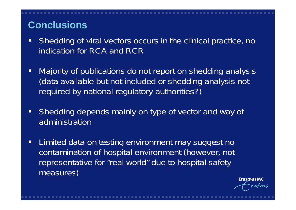## **Conclusions**

- $\Box$  Shedding of viral vectors occurs in the clinical practice, no indication for RCA and RCR
- $\Box$  Majority of publications do not report on shedding analysis (data available but not included or shedding analysis not required by national regulatory authorities?)
- $\Box$  Shedding depends mainly on type of vector and way of administration
- $\Box$  Limited data on testing environment may suggest no contamination of hospital environment (however, not representative for "real world" due to hospital safety measures)

Erasmus MC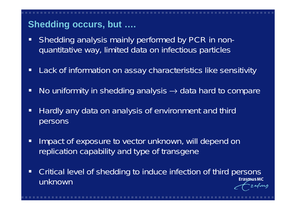# **Shedding occurs, but ….**

- $\Box$  Shedding analysis mainly performed by PCR in nonquantitative way, limited data on infectious particles
- $\Box$ Lack of information on assay characteristics like sensitivity
- $\Box$ No uniformity in shedding analysis  $\rightarrow$  data hard to compare
- $\Box$  Hardly any data on analysis of environment and third persons
- $\Box$  Impact of exposure to vector unknown, will depend on replication capability and type of transgene
- Critical level of shedding to induce infection of third persons  $\Box$ **ErasmusMC** unknown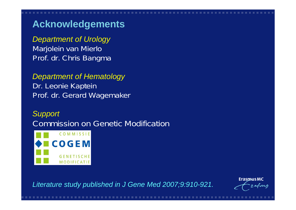# **Acknowledgements**

*Department of Urology* Marjolein van Mierlo Prof. dr. Chris Bangma

*Department of Hematology* Dr. Leonie Kaptein Prof. dr. Gerard Wagemaker

*Support* Commission on Genetic Modification



*Literature study published in J Gene Med 2007;9:910-921.*

**Erasmus MC** arns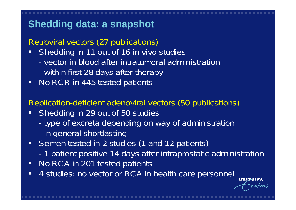# **Shedding data: a snapshot**

#### Retroviral vectors (27 publications)

- $\blacksquare$  Shedding in 11 out of 16 in vivo studies
	- vector in blood after intratumoral administration
	- within first 28 days after therapy
- $\Box$ No RCR in 445 tested patients

#### Replication-deficient adenoviral vectors (50 publications)

- $\Box$  Shedding in 29 out of 50 studies
	- type of excreta depending on way of administration
	- in general shortlasting
- $\blacksquare$  Semen tested in 2 studies (1 and 12 patients)
	- -1 patient positive 14 days after intraprostatic administration
- $\Box$ No RCA in 201 tested patients
- $\Box$ 4 studies: no vector or RCA in health care personnel

**ErasmusMC** 

rafuns